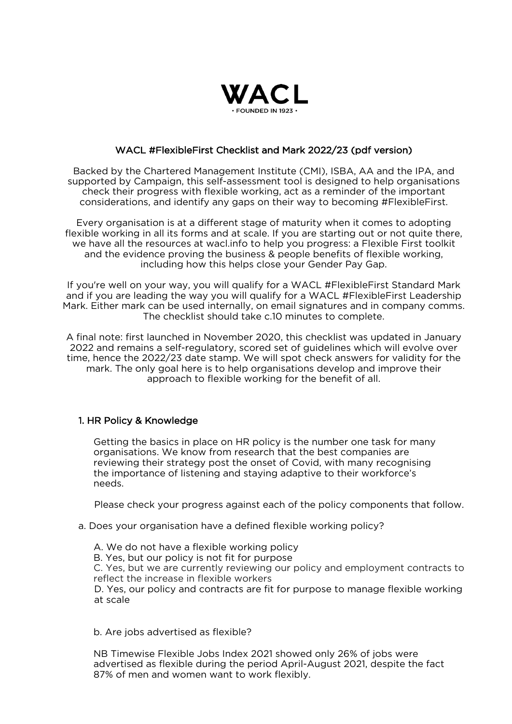

# WACL #FlexibleFirst Checklist and Mark 2022/23 (pdf version)

Backed by the Chartered Management Institute (CMI), ISBA, AA and the IPA, and supported by Campaign, this self-assessment tool is designed to help organisations check their progress with flexible working, act as a reminder of the important considerations, and identify any gaps on their way to becoming #FlexibleFirst.

Every organisation is at a different stage of maturity when it comes to adopting flexible working in all its forms and at scale. If you are starting out or not quite there, we have all the resources at wacl.info to help you progress: a Flexible First toolkit and the evidence proving the business & people benefits of flexible working, including how this helps close your Gender Pay Gap.

If you're well on your way, you will qualify for a WACL #FlexibleFirst Standard Mark and if you are leading the way you will qualify for a WACL #FlexibleFirst Leadership Mark. Either mark can be used internally, on email signatures and in company comms. The checklist should take c.10 minutes to complete.

A final note: first launched in November 2020, this checklist was updated in January 2022 and remains a self-regulatory, scored set of guidelines which will evolve over time, hence the 2022/23 date stamp. We will spot check answers for validity for the mark. The only goal here is to help organisations develop and improve their approach to flexible working for the benefit of all.

## 1. HR Policy & Knowledge

Getting the basics in place on HR policy is the number one task for many organisations. We know from research that the best companies are reviewing their strategy post the onset of Covid, with many recognising the importance of listening and staying adaptive to their workforce's needs.

Please check your progress against each of the policy components that follow.

a. Does your organisation have a defined flexible working policy?

A. We do not have a flexible working policy B. Yes, but our policy is not fit for purpose C. Yes, but we are currently reviewing our policy and employment contracts to reflect the increase in flexible workers D. Yes, our policy and contracts are fit for purpose to manage flexible working at scale

b. Are jobs advertised as flexible?

NB Timewise Flexible Jobs Index 2021 showed only 26% of jobs were advertised as flexible during the period April-August 2021, despite the fact 87% of men and women want to work flexibly.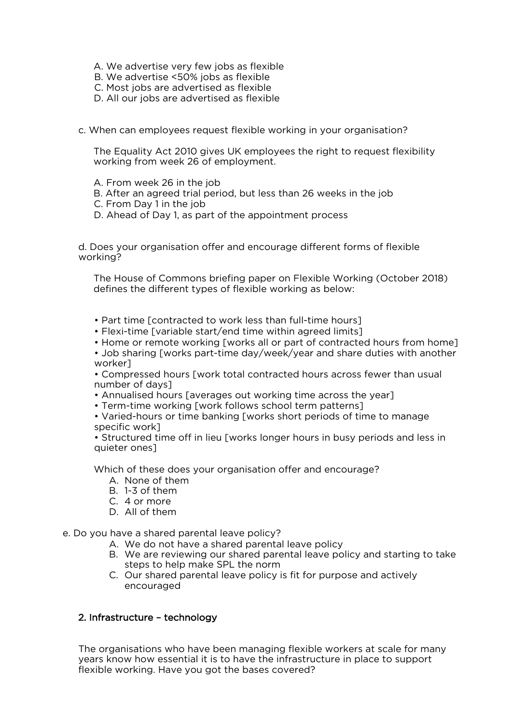- A. We advertise very few jobs as flexible
- B. We advertise <50% jobs as flexible
- C. Most jobs are advertised as flexible
- D. All our jobs are advertised as flexible
- c. When can employees request flexible working in your organisation?

The Equality Act 2010 gives UK employees the right to request flexibility working from week 26 of employment.

- A. From week 26 in the job
- B. After an agreed trial period, but less than 26 weeks in the job
- C. From Day 1 in the job
- D. Ahead of Day 1, as part of the appointment process

d. Does your organisation offer and encourage different forms of flexible working?

The House of Commons briefing paper on Flexible Working (October 2018) defines the different types of flexible working as below:

- Part time [contracted to work less than full-time hours]
- Flexi-time [variable start/end time within agreed limits]
- Home or remote working [works all or part of contracted hours from home]
- Job sharing [works part-time day/week/year and share duties with another worker]

• Compressed hours [work total contracted hours across fewer than usual number of days]

- Annualised hours [averages out working time across the year]
- Term-time working [work follows school term patterns]

• Varied-hours or time banking [works short periods of time to manage specific work]

• Structured time off in lieu [works longer hours in busy periods and less in quieter ones]

Which of these does your organisation offer and encourage?

- A. None of them
- B. 1-3 of them
- C. 4 or more
- D. All of them

e. Do you have a shared parental leave policy?

- A. We do not have a shared parental leave policy
- B. We are reviewing our shared parental leave policy and starting to take steps to help make SPL the norm
- C. Our shared parental leave policy is fit for purpose and actively encouraged

## 2. Infrastructure – technology

The organisations who have been managing flexible workers at scale for many years know how essential it is to have the infrastructure in place to support flexible working. Have you got the bases covered?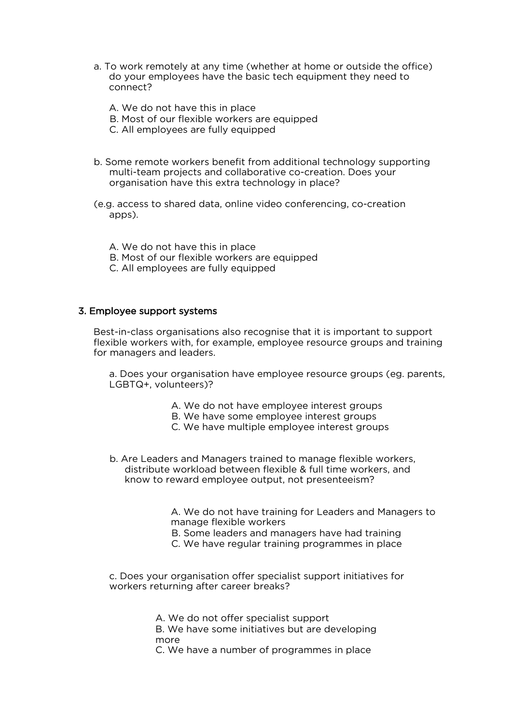- a. To work remotely at any time (whether at home or outside the office) do your employees have the basic tech equipment they need to connect?
	- A. We do not have this in place
	- B. Most of our flexible workers are equipped
	- C. All employees are fully equipped
- b. Some remote workers benefit from additional technology supporting multi-team projects and collaborative co-creation. Does your organisation have this extra technology in place?
- (e.g. access to shared data, online video conferencing, co-creation apps).
	- A. We do not have this in place
	- B. Most of our flexible workers are equipped
	- C. All employees are fully equipped

### 3. Employee support systems

Best-in-class organisations also recognise that it is important to support flexible workers with, for example, employee resource groups and training for managers and leaders.

a. Does your organisation have employee resource groups (eg. parents, LGBTQ+, volunteers)?

- A. We do not have employee interest groups
- B. We have some employee interest groups
- C. We have multiple employee interest groups
- b. Are Leaders and Managers trained to manage flexible workers, distribute workload between flexible & full time workers, and know to reward employee output, not presenteeism?

A. We do not have training for Leaders and Managers to manage flexible workers

B. Some leaders and managers have had training

C. We have regular training programmes in place

c. Does your organisation offer specialist support initiatives for workers returning after career breaks?

> A. We do not offer specialist support B. We have some initiatives but are developing more

C. We have a number of programmes in place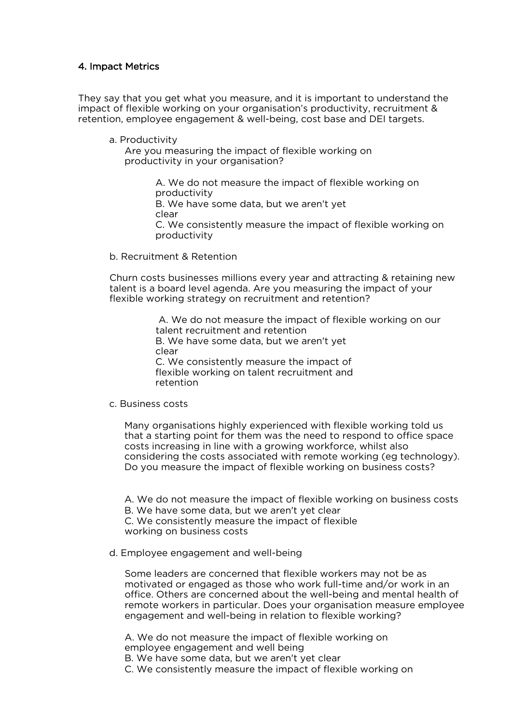## 4. Impact Metrics

They say that you get what you measure, and it is important to understand the impact of flexible working on your organisation's productivity, recruitment & retention, employee engagement & well-being, cost base and DEI targets.

a. Productivity

Are you measuring the impact of flexible working on productivity in your organisation?

> A. We do not measure the impact of flexible working on productivity B. We have some data, but we aren't yet clear C. We consistently measure the impact of flexible working on productivity

b. Recruitment & Retention

Churn costs businesses millions every year and attracting & retaining new talent is a board level agenda. Are you measuring the impact of your flexible working strategy on recruitment and retention?

> A. We do not measure the impact of flexible working on our talent recruitment and retention B. We have some data, but we aren't yet clear C. We consistently measure the impact of flexible working on talent recruitment and retention

c. Business costs

Many organisations highly experienced with flexible working told us that a starting point for them was the need to respond to office space costs increasing in line with a growing workforce, whilst also considering the costs associated with remote working (eg technology). Do you measure the impact of flexible working on business costs?

A. We do not measure the impact of flexible working on business costs B. We have some data, but we aren't yet clear C. We consistently measure the impact of flexible working on business costs

d. Employee engagement and well-being

Some leaders are concerned that flexible workers may not be as motivated or engaged as those who work full-time and/or work in an office. Others are concerned about the well-being and mental health of remote workers in particular. Does your organisation measure employee engagement and well-being in relation to flexible working?

A. We do not measure the impact of flexible working on employee engagement and well being B. We have some data, but we aren't yet clear

C. We consistently measure the impact of flexible working on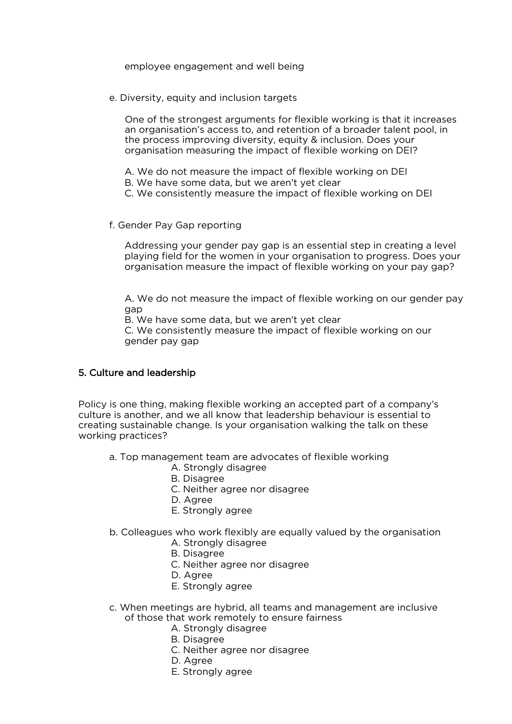### employee engagement and well being

e. Diversity, equity and inclusion targets

One of the strongest arguments for flexible working is that it increases an organisation's access to, and retention of a broader talent pool, in the process improving diversity, equity & inclusion. Does your organisation measuring the impact of flexible working on DEI?

- A. We do not measure the impact of flexible working on DEI
- B. We have some data, but we aren't yet clear
- C. We consistently measure the impact of flexible working on DEI
- f. Gender Pay Gap reporting

Addressing your gender pay gap is an essential step in creating a level playing field for the women in your organisation to progress. Does your organisation measure the impact of flexible working on your pay gap?

A. We do not measure the impact of flexible working on our gender pay gap

B. We have some data, but we aren't yet clear

C. We consistently measure the impact of flexible working on our gender pay gap

## 5. Culture and leadership

Policy is one thing, making flexible working an accepted part of a company's culture is another, and we all know that leadership behaviour is essential to creating sustainable change. Is your organisation walking the talk on these working practices?

- a. Top management team are advocates of flexible working
	- A. Strongly disagree
	- B. Disagree
	- C. Neither agree nor disagree
	- D. Agree
	- E. Strongly agree
- b. Colleagues who work flexibly are equally valued by the organisation A. Strongly disagree
	- B. Disagree
	- C. Neither agree nor disagree
	- D. Agree
	- E. Strongly agree
- c. When meetings are hybrid, all teams and management are inclusive of those that work remotely to ensure fairness
	- A. Strongly disagree
		- B. Disagree
		- C. Neither agree nor disagree
		- D. Agree
		- E. Strongly agree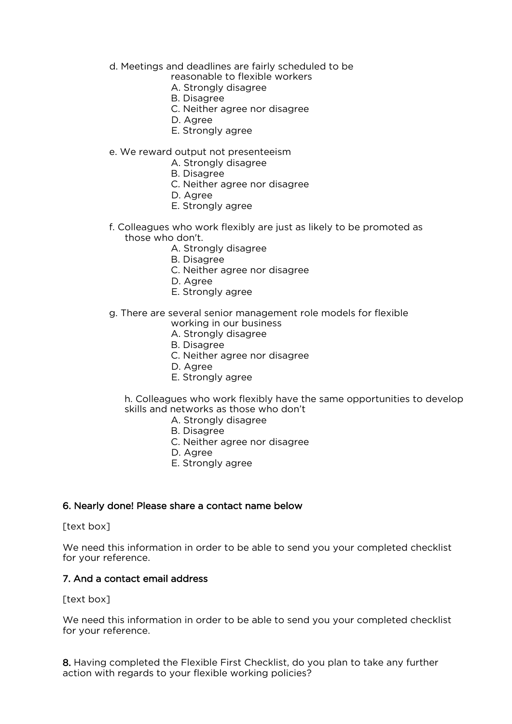- d. Meetings and deadlines are fairly scheduled to be
	- reasonable to flexible workers
	- A. Strongly disagree
	- B. Disagree
	- C. Neither agree nor disagree
	- D. Agree
	- E. Strongly agree

# e. We reward output not presenteeism

- A. Strongly disagree
- B. Disagree
- C. Neither agree nor disagree
- D. Agree
- E. Strongly agree
- f. Colleagues who work flexibly are just as likely to be promoted as those who don't.
	- A. Strongly disagree
	- B. Disagree
	- C. Neither agree nor disagree
	- D. Agree
	- E. Strongly agree
- g. There are several senior management role models for flexible
	- working in our business
	- A. Strongly disagree
	- B. Disagree
	- C. Neither agree nor disagree
	- D. Agree
	- E. Strongly agree

h. Colleagues who work flexibly have the same opportunities to develop skills and networks as those who don't

- A. Strongly disagree
- B. Disagree
- C. Neither agree nor disagree
- D. Agree
- E. Strongly agree

## 6. Nearly done! Please share a contact name below

#### [text box]

We need this information in order to be able to send you your completed checklist for your reference.

## 7. And a contact email address

## [text box]

We need this information in order to be able to send you your completed checklist for your reference.

8. Having completed the Flexible First Checklist, do you plan to take any further action with regards to your flexible working policies?